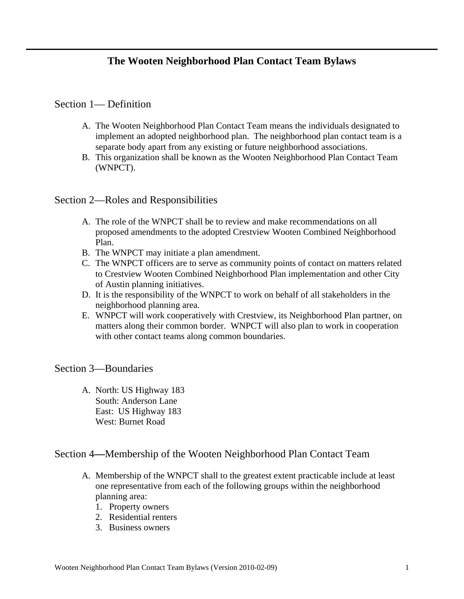# Section 1— Definition

- A. The Wooten Neighborhood Plan Contact Team means the individuals designated to implement an adopted neighborhood plan. The neighborhood plan contact team is a separate body apart from any existing or future neighborhood associations.
- B. This organization shall be known as the Wooten Neighborhood Plan Contact Team (WNPCT).

# Section 2—Roles and Responsibilities

- A. The role of the WNPCT shall be to review and make recommendations on all proposed amendments to the adopted Crestview Wooten Combined Neighborhood Plan.
- B. The WNPCT may initiate a plan amendment.
- C. The WNPCT officers are to serve as community points of contact on matters related to Crestview Wooten Combined Neighborhood Plan implementation and other City of Austin planning initiatives.
- D. It is the responsibility of the WNPCT to work on behalf of all stakeholders in the neighborhood planning area.
- E. WNPCT will work cooperatively with Crestview, its Neighborhood Plan partner, on matters along their common border. WNPCT will also plan to work in cooperation with other contact teams along common boundaries.

#### Section 3—Boundaries

A. North: US Highway 183 South: Anderson Lane East: US Highway 183 West: Burnet Road

# Section 4**—**Membership of the Wooten Neighborhood Plan Contact Team

- A. Membership of the WNPCT shall to the greatest extent practicable include at least one representative from each of the following groups within the neighborhood planning area:
	- 1. Property owners
	- 2. Residential renters
	- 3. Business owners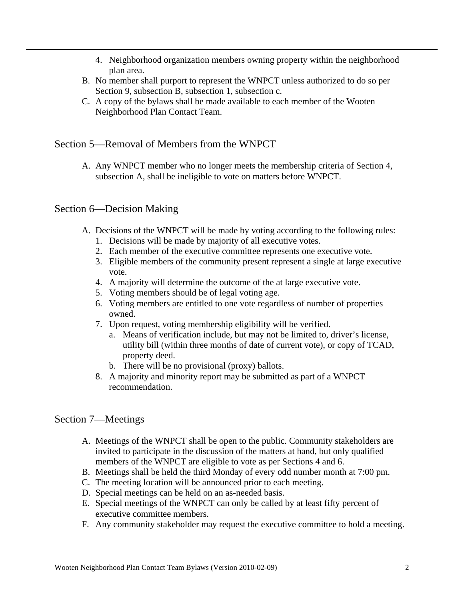- 4. Neighborhood organization members owning property within the neighborhood plan area.
- B. No member shall purport to represent the WNPCT unless authorized to do so per Section 9, subsection B, subsection 1, subsection c.
- C. A copy of the bylaws shall be made available to each member of the Wooten Neighborhood Plan Contact Team.

# Section 5—Removal of Members from the WNPCT

A. Any WNPCT member who no longer meets the membership criteria of Section 4, subsection A, shall be ineligible to vote on matters before WNPCT.

# Section 6—Decision Making

- A. Decisions of the WNPCT will be made by voting according to the following rules:
	- 1. Decisions will be made by majority of all executive votes.
	- 2. Each member of the executive committee represents one executive vote.
	- 3. Eligible members of the community present represent a single at large executive vote.
	- 4. A majority will determine the outcome of the at large executive vote.
	- 5. Voting members should be of legal voting age.
	- 6. Voting members are entitled to one vote regardless of number of properties owned.
	- 7. Upon request, voting membership eligibility will be verified.
		- a. Means of verification include, but may not be limited to, driver's license, utility bill (within three months of date of current vote), or copy of TCAD, property deed.
		- b. There will be no provisional (proxy) ballots.
	- 8. A majority and minority report may be submitted as part of a WNPCT recommendation.

# Section 7—Meetings

- A. Meetings of the WNPCT shall be open to the public. Community stakeholders are invited to participate in the discussion of the matters at hand, but only qualified members of the WNPCT are eligible to vote as per Sections 4 and 6.
- B. Meetings shall be held the third Monday of every odd number month at 7:00 pm.
- C. The meeting location will be announced prior to each meeting.
- D. Special meetings can be held on an as-needed basis.
- E. Special meetings of the WNPCT can only be called by at least fifty percent of executive committee members.
- F. Any community stakeholder may request the executive committee to hold a meeting.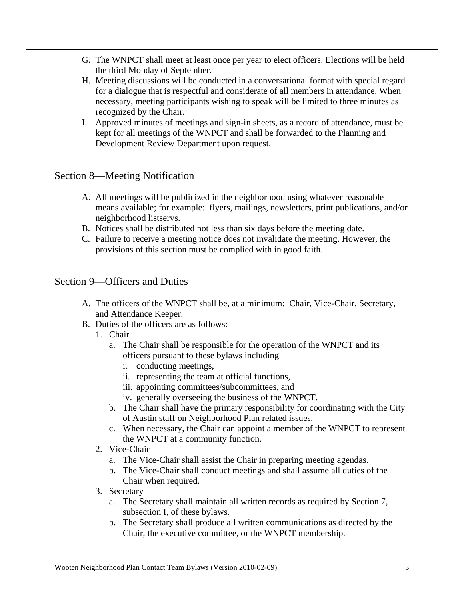- G. The WNPCT shall meet at least once per year to elect officers. Elections will be held the third Monday of September.
- H. Meeting discussions will be conducted in a conversational format with special regard for a dialogue that is respectful and considerate of all members in attendance. When necessary, meeting participants wishing to speak will be limited to three minutes as recognized by the Chair.
- I. Approved minutes of meetings and sign-in sheets, as a record of attendance, must be kept for all meetings of the WNPCT and shall be forwarded to the Planning and Development Review Department upon request.

# Section 8—Meeting Notification

- A. All meetings will be publicized in the neighborhood using whatever reasonable means available; for example: flyers, mailings, newsletters, print publications, and/or neighborhood listservs.
- B. Notices shall be distributed not less than six days before the meeting date.
- C. Failure to receive a meeting notice does not invalidate the meeting. However, the provisions of this section must be complied with in good faith.

# Section 9—Officers and Duties

- A. The officers of the WNPCT shall be, at a minimum: Chair, Vice-Chair, Secretary, and Attendance Keeper.
- B. Duties of the officers are as follows:
	- 1. Chair
		- a. The Chair shall be responsible for the operation of the WNPCT and its officers pursuant to these bylaws including
			- i. conducting meetings,
			- ii. representing the team at official functions,
			- iii. appointing committees/subcommittees, and
			- iv. generally overseeing the business of the WNPCT.
		- b. The Chair shall have the primary responsibility for coordinating with the City of Austin staff on Neighborhood Plan related issues.
		- c. When necessary, the Chair can appoint a member of the WNPCT to represent the WNPCT at a community function.
	- 2. Vice-Chair
		- a. The Vice-Chair shall assist the Chair in preparing meeting agendas.
		- b. The Vice-Chair shall conduct meetings and shall assume all duties of the Chair when required.
	- 3. Secretary
		- a. The Secretary shall maintain all written records as required by Section 7, subsection I, of these bylaws.
		- b. The Secretary shall produce all written communications as directed by the Chair, the executive committee, or the WNPCT membership.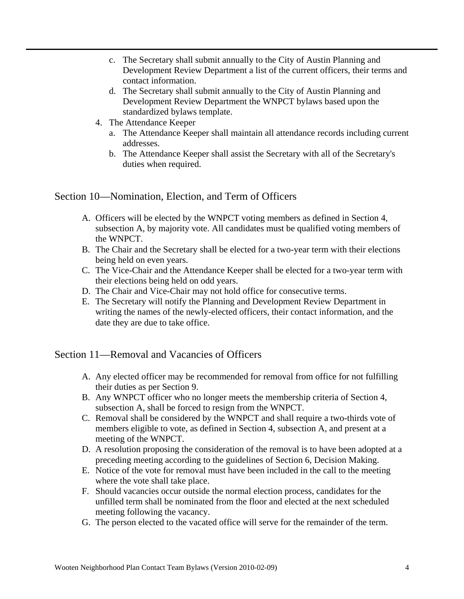- c. The Secretary shall submit annually to the City of Austin Planning and Development Review Department a list of the current officers, their terms and contact information.
- d. The Secretary shall submit annually to the City of Austin Planning and Development Review Department the WNPCT bylaws based upon the standardized bylaws template.
- 4. The Attendance Keeper
	- a. The Attendance Keeper shall maintain all attendance records including current addresses.
	- b. The Attendance Keeper shall assist the Secretary with all of the Secretary's duties when required.

Section 10—Nomination, Election, and Term of Officers

- A. Officers will be elected by the WNPCT voting members as defined in Section 4, subsection A, by majority vote. All candidates must be qualified voting members of the WNPCT.
- B. The Chair and the Secretary shall be elected for a two-year term with their elections being held on even years.
- C. The Vice-Chair and the Attendance Keeper shall be elected for a two-year term with their elections being held on odd years.
- D. The Chair and Vice-Chair may not hold office for consecutive terms.
- E. The Secretary will notify the Planning and Development Review Department in writing the names of the newly-elected officers, their contact information, and the date they are due to take office.

Section 11—Removal and Vacancies of Officers

- A. Any elected officer may be recommended for removal from office for not fulfilling their duties as per Section 9.
- B. Any WNPCT officer who no longer meets the membership criteria of Section 4, subsection A, shall be forced to resign from the WNPCT.
- C. Removal shall be considered by the WNPCT and shall require a two-thirds vote of members eligible to vote, as defined in Section 4, subsection A, and present at a meeting of the WNPCT.
- D. A resolution proposing the consideration of the removal is to have been adopted at a preceding meeting according to the guidelines of Section 6, Decision Making.
- E. Notice of the vote for removal must have been included in the call to the meeting where the vote shall take place.
- F. Should vacancies occur outside the normal election process, candidates for the unfilled term shall be nominated from the floor and elected at the next scheduled meeting following the vacancy.
- G. The person elected to the vacated office will serve for the remainder of the term.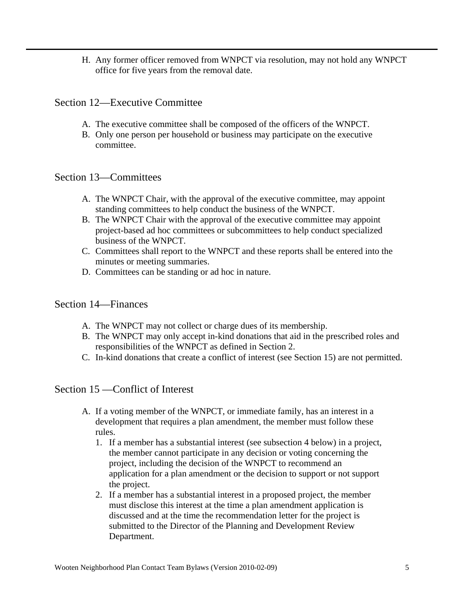H. Any former officer removed from WNPCT via resolution, may not hold any WNPCT office for five years from the removal date.

#### Section 12—Executive Committee

- A. The executive committee shall be composed of the officers of the WNPCT.
- B. Only one person per household or business may participate on the executive committee.

#### Section 13—Committees

- A. The WNPCT Chair, with the approval of the executive committee, may appoint standing committees to help conduct the business of the WNPCT.
- B. The WNPCT Chair with the approval of the executive committee may appoint project-based ad hoc committees or subcommittees to help conduct specialized business of the WNPCT.
- C. Committees shall report to the WNPCT and these reports shall be entered into the minutes or meeting summaries.
- D. Committees can be standing or ad hoc in nature.

#### Section 14—Finances

- A. The WNPCT may not collect or charge dues of its membership.
- B. The WNPCT may only accept in-kind donations that aid in the prescribed roles and responsibilities of the WNPCT as defined in Section 2.
- C. In-kind donations that create a conflict of interest (see Section 15) are not permitted.

#### Section 15 —Conflict of Interest

- A. If a voting member of the WNPCT, or immediate family, has an interest in a development that requires a plan amendment, the member must follow these rules.
	- 1. If a member has a substantial interest (see subsection 4 below) in a project, the member cannot participate in any decision or voting concerning the project, including the decision of the WNPCT to recommend an application for a plan amendment or the decision to support or not support the project.
	- 2. If a member has a substantial interest in a proposed project, the member must disclose this interest at the time a plan amendment application is discussed and at the time the recommendation letter for the project is submitted to the Director of the Planning and Development Review Department.